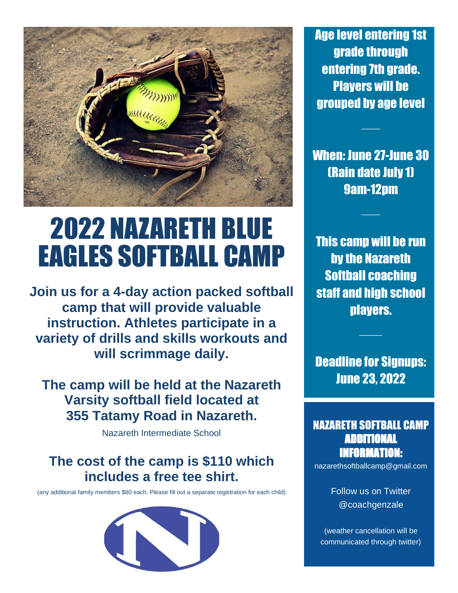

# 2022 NAZARETH BLUE EAGLES SOFTBALL CAMP

**Join us for a 4-day action packed softball camp that will provide valuable instruction. Athletes participate in a variety of drills and skills workouts and will scrimmage daily.**

**The camp will be held at the Nazareth Varsity softball field located at 355 Tatamy Road in Nazareth.**

Nazareth Intermediate School

## **The cost of the camp is \$110 which includes a free tee shirt.**

(any additional family members \$80 each. Please fill out a separate registration for each child)



Age level entering 1st grade through entering 7th grade. Players will be grouped by age level

When: June 27-June 30 (Rain date July 1) 9am-12pm

 $\overline{\phantom{a}}$ 

 $\overline{\phantom{a}}$ 

This camp will be run by the Nazareth Softball coaching staff and high school players.

Deadline for Signups: June 23, 2022

 $\frac{1}{2}$ 

## NAZARETH SOFTBALL CAMP ADDITIONAL INFORMATION:

nazarethsoftballcamp@gmail.com

Follow us on Twitter @coachgenzale

(weather cancellation will be communicated through twitter)